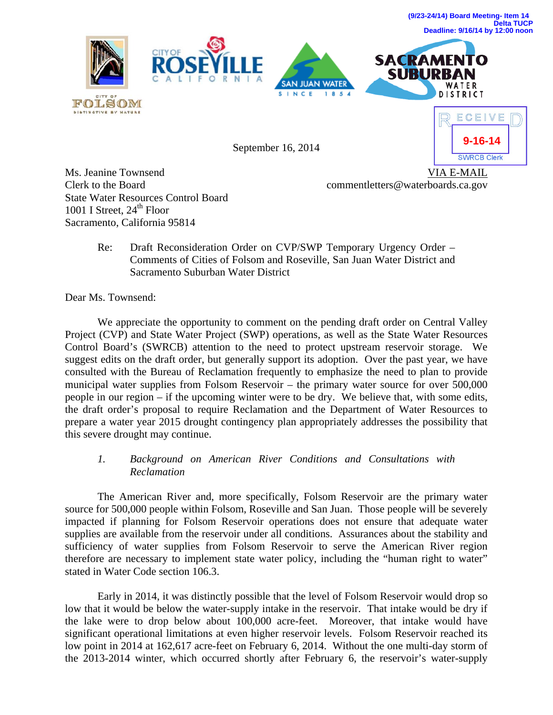





September 16, 2014



Ms. Jeanine Townsend Clerk to the Board State Water Resources Control Board 1001 I Street,  $24<sup>th</sup>$  Floor Sacramento, California 95814

VIA E-MAIL commentletters@waterboards.ca.gov

Re: Draft Reconsideration Order on CVP/SWP Temporary Urgency Order – Comments of Cities of Folsom and Roseville, San Juan Water District and Sacramento Suburban Water District

Dear Ms. Townsend:

 We appreciate the opportunity to comment on the pending draft order on Central Valley Project (CVP) and State Water Project (SWP) operations, as well as the State Water Resources Control Board's (SWRCB) attention to the need to protect upstream reservoir storage. We suggest edits on the draft order, but generally support its adoption. Over the past year, we have consulted with the Bureau of Reclamation frequently to emphasize the need to plan to provide municipal water supplies from Folsom Reservoir – the primary water source for over 500,000 people in our region – if the upcoming winter were to be dry. We believe that, with some edits, the draft order's proposal to require Reclamation and the Department of Water Resources to prepare a water year 2015 drought contingency plan appropriately addresses the possibility that this severe drought may continue.

# *1. Background on American River Conditions and Consultations with Reclamation*

 The American River and, more specifically, Folsom Reservoir are the primary water source for 500,000 people within Folsom, Roseville and San Juan. Those people will be severely impacted if planning for Folsom Reservoir operations does not ensure that adequate water supplies are available from the reservoir under all conditions. Assurances about the stability and sufficiency of water supplies from Folsom Reservoir to serve the American River region therefore are necessary to implement state water policy, including the "human right to water" stated in Water Code section 106.3.

 Early in 2014, it was distinctly possible that the level of Folsom Reservoir would drop so low that it would be below the water-supply intake in the reservoir. That intake would be dry if the lake were to drop below about 100,000 acre-feet. Moreover, that intake would have significant operational limitations at even higher reservoir levels. Folsom Reservoir reached its low point in 2014 at 162,617 acre-feet on February 6, 2014. Without the one multi-day storm of the 2013-2014 winter, which occurred shortly after February 6, the reservoir's water-supply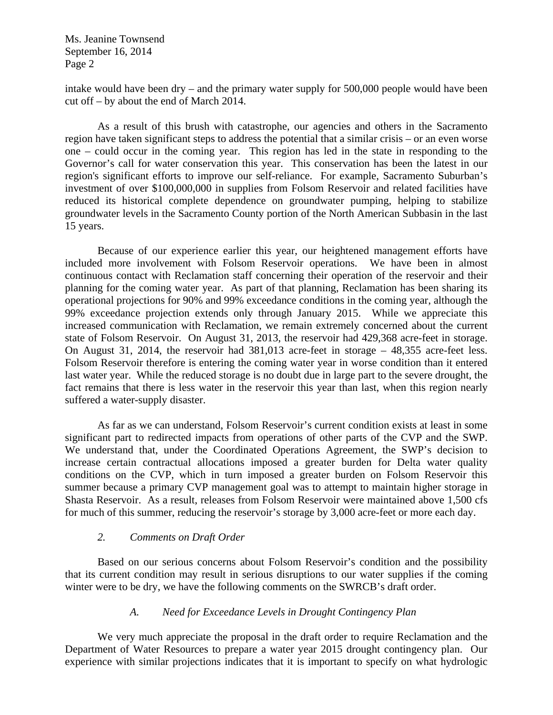intake would have been dry – and the primary water supply for 500,000 people would have been cut off – by about the end of March 2014.

 As a result of this brush with catastrophe, our agencies and others in the Sacramento region have taken significant steps to address the potential that a similar crisis – or an even worse one – could occur in the coming year. This region has led in the state in responding to the Governor's call for water conservation this year. This conservation has been the latest in our region's significant efforts to improve our self-reliance. For example, Sacramento Suburban's investment of over \$100,000,000 in supplies from Folsom Reservoir and related facilities have reduced its historical complete dependence on groundwater pumping, helping to stabilize groundwater levels in the Sacramento County portion of the North American Subbasin in the last 15 years.

 Because of our experience earlier this year, our heightened management efforts have included more involvement with Folsom Reservoir operations. We have been in almost continuous contact with Reclamation staff concerning their operation of the reservoir and their planning for the coming water year. As part of that planning, Reclamation has been sharing its operational projections for 90% and 99% exceedance conditions in the coming year, although the 99% exceedance projection extends only through January 2015. While we appreciate this increased communication with Reclamation, we remain extremely concerned about the current state of Folsom Reservoir. On August 31, 2013, the reservoir had 429,368 acre-feet in storage. On August 31, 2014, the reservoir had 381,013 acre-feet in storage – 48,355 acre-feet less. Folsom Reservoir therefore is entering the coming water year in worse condition than it entered last water year. While the reduced storage is no doubt due in large part to the severe drought, the fact remains that there is less water in the reservoir this year than last, when this region nearly suffered a water-supply disaster.

 As far as we can understand, Folsom Reservoir's current condition exists at least in some significant part to redirected impacts from operations of other parts of the CVP and the SWP. We understand that, under the Coordinated Operations Agreement, the SWP's decision to increase certain contractual allocations imposed a greater burden for Delta water quality conditions on the CVP, which in turn imposed a greater burden on Folsom Reservoir this summer because a primary CVP management goal was to attempt to maintain higher storage in Shasta Reservoir. As a result, releases from Folsom Reservoir were maintained above 1,500 cfs for much of this summer, reducing the reservoir's storage by 3,000 acre-feet or more each day.

## *2. Comments on Draft Order*

 Based on our serious concerns about Folsom Reservoir's condition and the possibility that its current condition may result in serious disruptions to our water supplies if the coming winter were to be dry, we have the following comments on the SWRCB's draft order.

## *A. Need for Exceedance Levels in Drought Contingency Plan*

 We very much appreciate the proposal in the draft order to require Reclamation and the Department of Water Resources to prepare a water year 2015 drought contingency plan. Our experience with similar projections indicates that it is important to specify on what hydrologic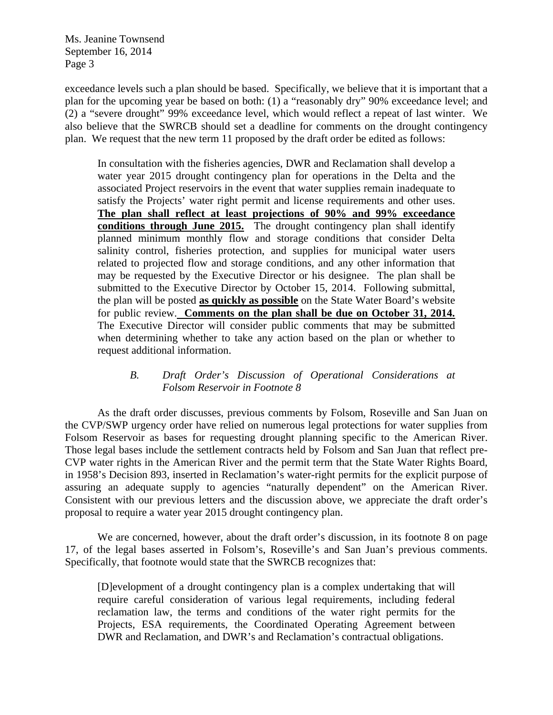exceedance levels such a plan should be based. Specifically, we believe that it is important that a plan for the upcoming year be based on both: (1) a "reasonably dry" 90% exceedance level; and (2) a "severe drought" 99% exceedance level, which would reflect a repeat of last winter. We also believe that the SWRCB should set a deadline for comments on the drought contingency plan. We request that the new term 11 proposed by the draft order be edited as follows:

In consultation with the fisheries agencies, DWR and Reclamation shall develop a water year 2015 drought contingency plan for operations in the Delta and the associated Project reservoirs in the event that water supplies remain inadequate to satisfy the Projects' water right permit and license requirements and other uses. **The plan shall reflect at least projections of 90% and 99% exceedance conditions through June 2015.** The drought contingency plan shall identify planned minimum monthly flow and storage conditions that consider Delta salinity control, fisheries protection, and supplies for municipal water users related to projected flow and storage conditions, and any other information that may be requested by the Executive Director or his designee. The plan shall be submitted to the Executive Director by October 15, 2014. Following submittal, the plan will be posted **as quickly as possible** on the State Water Board's website for public review. **Comments on the plan shall be due on October 31, 2014.** The Executive Director will consider public comments that may be submitted when determining whether to take any action based on the plan or whether to request additional information.

## *B. Draft Order's Discussion of Operational Considerations at Folsom Reservoir in Footnote 8*

 As the draft order discusses, previous comments by Folsom, Roseville and San Juan on the CVP/SWP urgency order have relied on numerous legal protections for water supplies from Folsom Reservoir as bases for requesting drought planning specific to the American River. Those legal bases include the settlement contracts held by Folsom and San Juan that reflect pre-CVP water rights in the American River and the permit term that the State Water Rights Board, in 1958's Decision 893, inserted in Reclamation's water-right permits for the explicit purpose of assuring an adequate supply to agencies "naturally dependent" on the American River. Consistent with our previous letters and the discussion above, we appreciate the draft order's proposal to require a water year 2015 drought contingency plan.

 We are concerned, however, about the draft order's discussion, in its footnote 8 on page 17, of the legal bases asserted in Folsom's, Roseville's and San Juan's previous comments. Specifically, that footnote would state that the SWRCB recognizes that:

[D]evelopment of a drought contingency plan is a complex undertaking that will require careful consideration of various legal requirements, including federal reclamation law, the terms and conditions of the water right permits for the Projects, ESA requirements, the Coordinated Operating Agreement between DWR and Reclamation, and DWR's and Reclamation's contractual obligations.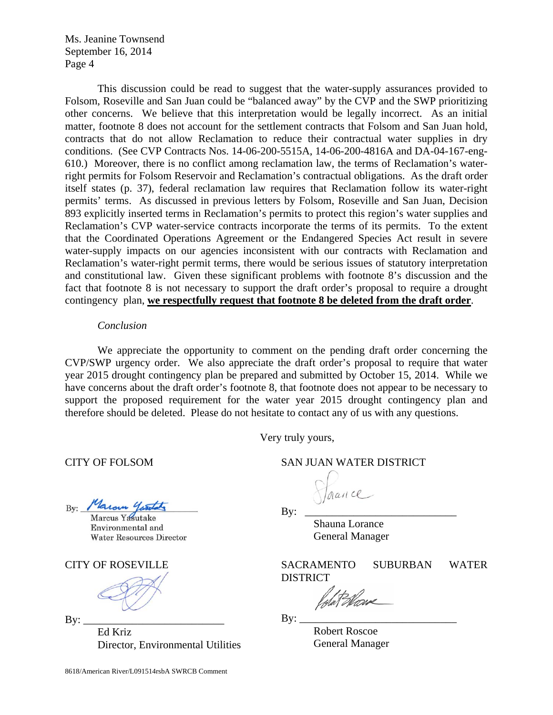This discussion could be read to suggest that the water-supply assurances provided to Folsom, Roseville and San Juan could be "balanced away" by the CVP and the SWP prioritizing other concerns. We believe that this interpretation would be legally incorrect. As an initial matter, footnote 8 does not account for the settlement contracts that Folsom and San Juan hold, contracts that do not allow Reclamation to reduce their contractual water supplies in dry conditions. (See CVP Contracts Nos. 14-06-200-5515A, 14-06-200-4816A and DA-04-167-eng-610.) Moreover, there is no conflict among reclamation law, the terms of Reclamation's waterright permits for Folsom Reservoir and Reclamation's contractual obligations. As the draft order itself states (p. 37), federal reclamation law requires that Reclamation follow its water-right permits' terms. As discussed in previous letters by Folsom, Roseville and San Juan, Decision 893 explicitly inserted terms in Reclamation's permits to protect this region's water supplies and Reclamation's CVP water-service contracts incorporate the terms of its permits. To the extent that the Coordinated Operations Agreement or the Endangered Species Act result in severe water-supply impacts on our agencies inconsistent with our contracts with Reclamation and Reclamation's water-right permit terms, there would be serious issues of statutory interpretation and constitutional law. Given these significant problems with footnote 8's discussion and the fact that footnote 8 is not necessary to support the draft order's proposal to require a drought contingency plan, **we respectfully request that footnote 8 be deleted from the draft order**.

### *Conclusion*

 We appreciate the opportunity to comment on the pending draft order concerning the CVP/SWP urgency order. We also appreciate the draft order's proposal to require that water year 2015 drought contingency plan be prepared and submitted by October 15, 2014. While we have concerns about the draft order's footnote 8, that footnote does not appear to be necessary to support the proposed requirement for the water year 2015 drought contingency plan and therefore should be deleted. Please do not hesitate to contact any of us with any questions.

Very truly yours,

Maroun Gartato  $Bv:$ 

Marcus Yasutake Environmental and **Water Resources Director** 

CITY OF ROSEVILLE

 $\mathbf{By:}$ 

Ed Kriz Director, Environmental Utilities

CITY OF FOLSOM SAN JUAN WATER DISTRICT

By: \_\_\_\_\_\_\_\_\_\_\_\_\_\_\_\_\_\_\_\_\_\_\_\_\_\_\_\_

Shauna Lorance General Manager

SACRAMENTO SUBURBAN WATER DISTRICT

dat Manz

By: \_\_\_\_\_\_\_\_\_\_\_\_\_\_\_\_\_\_\_\_\_\_\_\_\_\_\_\_\_

Robert Roscoe General Manager